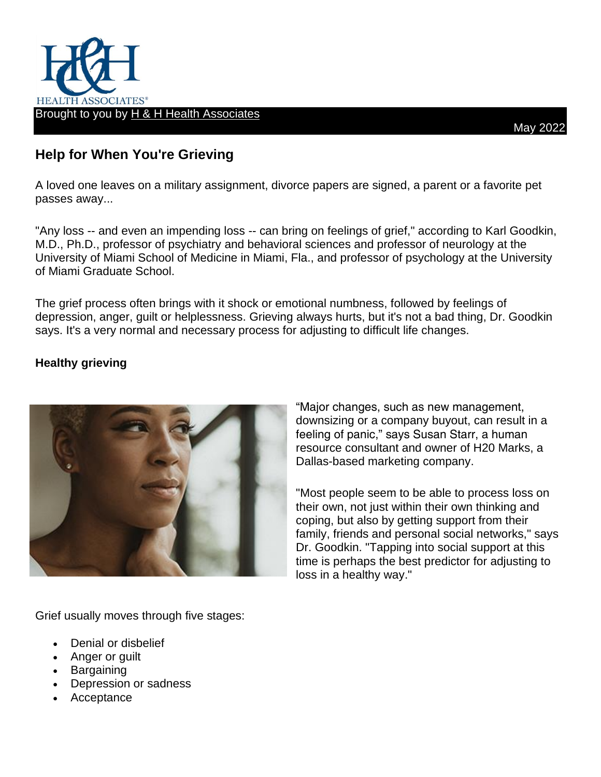

## **Help for When You're Grieving**

A loved one leaves on a military assignment, divorce papers are signed, a parent or a favorite pet passes away...

"Any loss -- and even an impending loss -- can bring on feelings of grief," according to Karl Goodkin, M.D., Ph.D., professor of psychiatry and behavioral sciences and professor of neurology at the University of Miami School of Medicine in Miami, Fla., and professor of psychology at the University of Miami Graduate School.

The grief process often brings with it shock or emotional numbness, followed by feelings of depression, anger, guilt or helplessness. Grieving always hurts, but it's not a bad thing, Dr. Goodkin says. It's a very normal and necessary process for adjusting to difficult life changes.

## **Healthy grieving**



"Major changes, such as new management, downsizing or a company buyout, can result in a feeling of panic," says Susan Starr, a human resource consultant and owner of H20 Marks, a Dallas-based marketing company.

"Most people seem to be able to process loss on their own, not just within their own thinking and coping, but also by getting support from their family, friends and personal social networks," says Dr. Goodkin. "Tapping into social support at this time is perhaps the best predictor for adjusting to loss in a healthy way."

Grief usually moves through five stages:

- Denial or disbelief
- Anger or guilt
- **Bargaining**
- Depression or sadness
- Acceptance